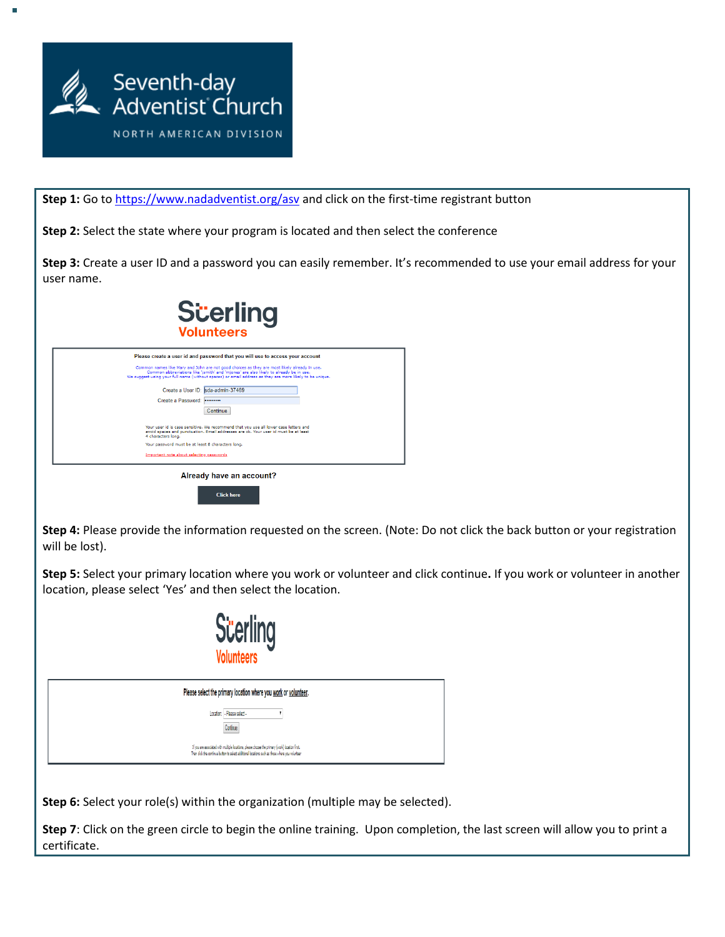

г

Step 1: Go to<https://www.nadadventist.org/asv> and click on the first-time registrant button

**Step 2:** Select the state where your program is located and then select the conference

**Step 3:** Create a user ID and a password you can easily remember. It's recommended to use your email address for your user name.



**Step 4:** Please provide the information requested on the screen. (Note: Do not click the back button or your registration will be lost).

**Step 5:** Select your primary location where you work or volunteer and click continue**.** If you work or volunteer in another location, please select 'Yes' and then select the location.



| Please select the primary location where you work or volunteer.                                                                                                                                    |
|----------------------------------------------------------------------------------------------------------------------------------------------------------------------------------------------------|
| Location: - Please select -<br>Continue                                                                                                                                                            |
| If you are associated with multiple locations, please choose the primary (work) location first.<br>Then click the continue button to select additional locations such as those where you volunteer |

**Step 6:** Select your role(s) within the organization (multiple may be selected).

**Step 7**: Click on the green circle to begin the online training. Upon completion, the last screen will allow you to print a certificate.